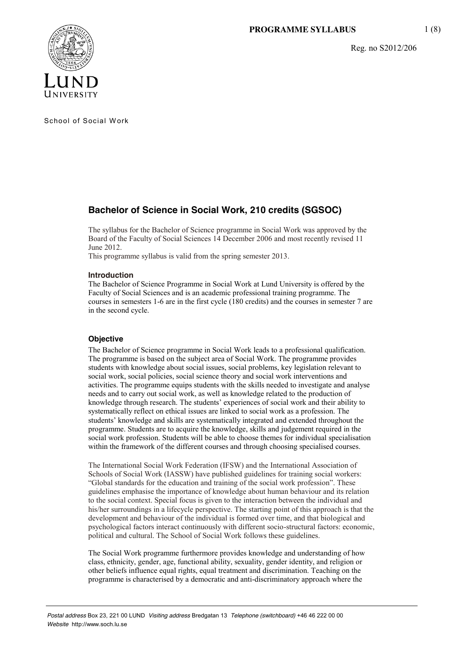Reg. no S2012/206



School of Social Work

# **Bachelor of Science in Social Work, 210 credits (SGSOC)**

The syllabus for the Bachelor of Science programme in Social Work was approved by the Board of the Faculty of Social Sciences 14 December 2006 and most recently revised 11 June 2012.

This programme syllabus is valid from the spring semester 2013.

# **Introduction**

The Bachelor of Science Programme in Social Work at Lund University is offered by the Faculty of Social Sciences and is an academic professional training programme. The courses in semesters 1-6 are in the first cycle (180 credits) and the courses in semester 7 are in the second cycle.

# **Objective**

The Bachelor of Science programme in Social Work leads to a professional qualification. The programme is based on the subject area of Social Work. The programme provides students with knowledge about social issues, social problems, key legislation relevant to social work, social policies, social science theory and social work interventions and activities. The programme equips students with the skills needed to investigate and analyse needs and to carry out social work, as well as knowledge related to the production of knowledge through research. The students' experiences of social work and their ability to systematically reflect on ethical issues are linked to social work as a profession. The students' knowledge and skills are systematically integrated and extended throughout the programme. Students are to acquire the knowledge, skills and judgement required in the social work profession. Students will be able to choose themes for individual specialisation within the framework of the different courses and through choosing specialised courses.

The International Social Work Federation (IFSW) and the International Association of Schools of Social Work (IASSW) have published guidelines for training social workers: "Global standards for the education and training of the social work profession". These guidelines emphasise the importance of knowledge about human behaviour and its relation to the social context. Special focus is given to the interaction between the individual and his/her surroundings in a lifecycle perspective. The starting point of this approach is that the development and behaviour of the individual is formed over time, and that biological and psychological factors interact continuously with different socio-structural factors: economic, political and cultural. The School of Social Work follows these guidelines.

The Social Work programme furthermore provides knowledge and understanding of how class, ethnicity, gender, age, functional ability, sexuality, gender identity, and religion or other beliefs influence equal rights, equal treatment and discrimination. Teaching on the programme is characterised by a democratic and anti-discriminatory approach where the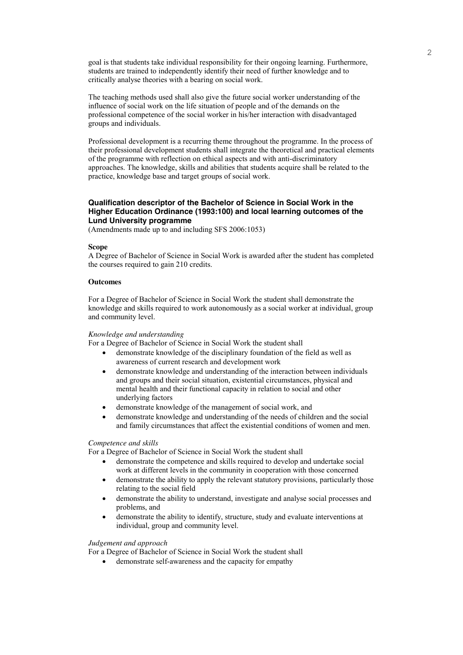goal is that students take individual responsibility for their ongoing learning. Furthermore, students are trained to independently identify their need of further knowledge and to critically analyse theories with a bearing on social work.

The teaching methods used shall also give the future social worker understanding of the influence of social work on the life situation of people and of the demands on the professional competence of the social worker in his/her interaction with disadvantaged groups and individuals.

Professional development is a recurring theme throughout the programme. In the process of their professional development students shall integrate the theoretical and practical elements of the programme with reflection on ethical aspects and with anti-discriminatory approaches. The knowledge, skills and abilities that students acquire shall be related to the practice, knowledge base and target groups of social work.

# **Qualification descriptor of the Bachelor of Science in Social Work in the Higher Education Ordinance (1993:100) and local learning outcomes of the Lund University programme**

(Amendments made up to and including SFS 2006:1053)

# **Scope**

A Degree of Bachelor of Science in Social Work is awarded after the student has completed the courses required to gain 210 credits.

## **Outcomes**

For a Degree of Bachelor of Science in Social Work the student shall demonstrate the knowledge and skills required to work autonomously as a social worker at individual, group and community level.

#### *Knowledge and understanding*

For a Degree of Bachelor of Science in Social Work the student shall

- demonstrate knowledge of the disciplinary foundation of the field as well as awareness of current research and development work
- demonstrate knowledge and understanding of the interaction between individuals and groups and their social situation, existential circumstances, physical and mental health and their functional capacity in relation to social and other underlying factors
- demonstrate knowledge of the management of social work, and
- demonstrate knowledge and understanding of the needs of children and the social and family circumstances that affect the existential conditions of women and men.

## *Competence and skills*

For a Degree of Bachelor of Science in Social Work the student shall

- demonstrate the competence and skills required to develop and undertake social work at different levels in the community in cooperation with those concerned
- demonstrate the ability to apply the relevant statutory provisions, particularly those relating to the social field
- demonstrate the ability to understand, investigate and analyse social processes and problems, and
- demonstrate the ability to identify, structure, study and evaluate interventions at individual, group and community level.

## *Judgement and approach*

For a Degree of Bachelor of Science in Social Work the student shall

demonstrate self-awareness and the capacity for empathy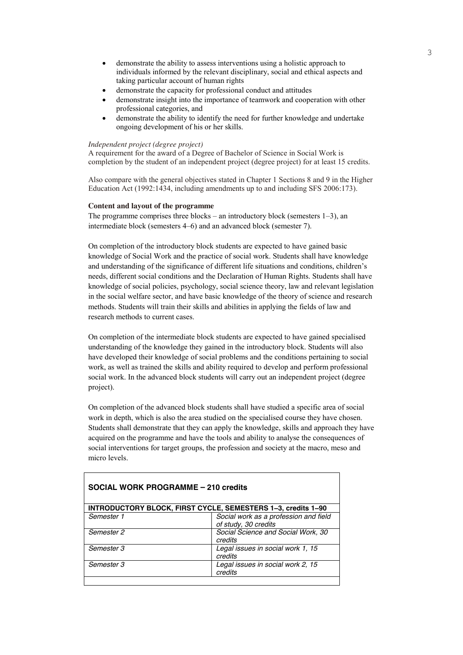- demonstrate the ability to assess interventions using a holistic approach to individuals informed by the relevant disciplinary, social and ethical aspects and taking particular account of human rights
- demonstrate the capacity for professional conduct and attitudes
- demonstrate insight into the importance of teamwork and cooperation with other professional categories, and
- demonstrate the ability to identify the need for further knowledge and undertake ongoing development of his or her skills.

# *Independent project (degree project)*

A requirement for the award of a Degree of Bachelor of Science in Social Work is completion by the student of an independent project (degree project) for at least 15 credits.

Also compare with the general objectives stated in Chapter 1 Sections 8 and 9 in the Higher Education Act (1992:1434, including amendments up to and including SFS 2006:173).

## **Content and layout of the programme**

The programme comprises three blocks – an introductory block (semesters 1–3), an intermediate block (semesters 4–6) and an advanced block (semester 7).

On completion of the introductory block students are expected to have gained basic knowledge of Social Work and the practice of social work. Students shall have knowledge and understanding of the significance of different life situations and conditions, children's needs, different social conditions and the Declaration of Human Rights. Students shall have knowledge of social policies, psychology, social science theory, law and relevant legislation in the social welfare sector, and have basic knowledge of the theory of science and research methods. Students will train their skills and abilities in applying the fields of law and research methods to current cases.

On completion of the intermediate block students are expected to have gained specialised understanding of the knowledge they gained in the introductory block. Students will also have developed their knowledge of social problems and the conditions pertaining to social work, as well as trained the skills and ability required to develop and perform professional social work. In the advanced block students will carry out an independent project (degree project).

On completion of the advanced block students shall have studied a specific area of social work in depth, which is also the area studied on the specialised course they have chosen. Students shall demonstrate that they can apply the knowledge, skills and approach they have acquired on the programme and have the tools and ability to analyse the consequences of social interventions for target groups, the profession and society at the macro, meso and micro levels.

| <b>SOCIAL WORK PROGRAMME - 210 credits</b>                   |                                                               |
|--------------------------------------------------------------|---------------------------------------------------------------|
| INTRODUCTORY BLOCK, FIRST CYCLE, SEMESTERS 1-3, credits 1-90 |                                                               |
| Semester 1                                                   | Social work as a profession and field<br>of study, 30 credits |
| Semester 2                                                   | Social Science and Social Work, 30<br>credits                 |
| Semester 3                                                   | Legal issues in social work 1, 15<br>credits                  |
| Semester 3                                                   | Legal issues in social work 2, 15<br>credits                  |
|                                                              |                                                               |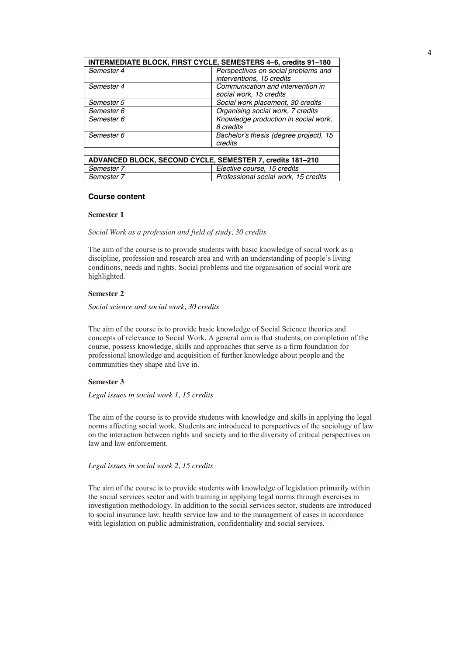| INTERMEDIATE BLOCK, FIRST CYCLE, SEMESTERS 4-6, credits 91-180 |                                        |
|----------------------------------------------------------------|----------------------------------------|
| Semester 4                                                     | Perspectives on social problems and    |
|                                                                | interventions, 15 credits              |
| Semester 4                                                     | Communication and intervention in      |
|                                                                | social work, 15 credits                |
| Semester 5                                                     | Social work placement, 30 credits      |
| Semester 6                                                     | Organising social work, 7 credits      |
| Semester 6                                                     | Knowledge production in social work,   |
|                                                                | 8 credits                              |
| Semester 6                                                     | Bachelor's thesis (degree project), 15 |
|                                                                | credits                                |
|                                                                |                                        |
| ADVANCED BLOCK, SECOND CYCLE, SEMESTER 7, credits 181-210      |                                        |
| Semester 7                                                     | Elective course, 15 credits            |
| Semester 7                                                     | Professional social work, 15 credits   |

#### **Course content**

#### **Semester 1**

*Social Work as a profession and field of study, 30 credits*

The aim of the course is to provide students with basic knowledge of social work as a discipline, profession and research area and with an understanding of people's living conditions, needs and rights. Social problems and the organisation of social work are highlighted.

## **Semester 2**

*Social science and social work, 30 credits*

The aim of the course is to provide basic knowledge of Social Science theories and concepts of relevance to Social Work. A general aim is that students, on completion of the course, possess knowledge, skills and approaches that serve as a firm foundation for professional knowledge and acquisition of further knowledge about people and the communities they shape and live in.

# **Semester 3**

# *Legal issues in social work 1, 15 credits*

The aim of the course is to provide students with knowledge and skills in applying the legal norms affecting social work. Students are introduced to perspectives of the sociology of law on the interaction between rights and society and to the diversity of critical perspectives on law and law enforcement.

# *Legal issues in social work 2, 15 credits*

The aim of the course is to provide students with knowledge of legislation primarily within the social services sector and with training in applying legal norms through exercises in investigation methodology. In addition to the social services sector, students are introduced to social insurance law, health service law and to the management of cases in accordance with legislation on public administration, confidentiality and social services.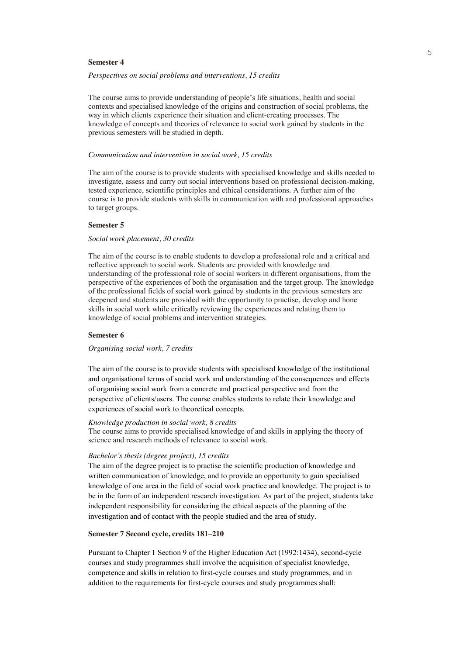#### **Semester 4**

#### *Perspectives on social problems and interventions, 15 credits*

The course aims to provide understanding of people's life situations, health and social contexts and specialised knowledge of the origins and construction of social problems, the way in which clients experience their situation and client-creating processes. The knowledge of concepts and theories of relevance to social work gained by students in the previous semesters will be studied in depth.

#### *Communication and intervention in social work, 15 credits*

The aim of the course is to provide students with specialised knowledge and skills needed to investigate, assess and carry out social interventions based on professional decision-making, tested experience, scientific principles and ethical considerations. A further aim of the course is to provide students with skills in communication with and professional approaches to target groups.

# **Semester 5**

## *Social work placement, 30 credits*

The aim of the course is to enable students to develop a professional role and a critical and reflective approach to social work. Students are provided with knowledge and understanding of the professional role of social workers in different organisations, from the perspective of the experiences of both the organisation and the target group. The knowledge of the professional fields of social work gained by students in the previous semesters are deepened and students are provided with the opportunity to practise, develop and hone skills in social work while critically reviewing the experiences and relating them to knowledge of social problems and intervention strategies.

#### **Semester 6**

#### *Organising social work, 7 credits*

The aim of the course is to provide students with specialised knowledge of the institutional and organisational terms of social work and understanding of the consequences and effects of organising social work from a concrete and practical perspective and from the perspective of clients/users. The course enables students to relate their knowledge and experiences of social work to theoretical concepts.

#### *Knowledge production in social work, 8 credits*

The course aims to provide specialised knowledge of and skills in applying the theory of science and research methods of relevance to social work.

#### *Bachelor's thesis (degree project), 15 credits*

The aim of the degree project is to practise the scientific production of knowledge and written communication of knowledge, and to provide an opportunity to gain specialised knowledge of one area in the field of social work practice and knowledge. The project is to be in the form of an independent research investigation. As part of the project, students take independent responsibility for considering the ethical aspects of the planning of the investigation and of contact with the people studied and the area of study.

# **Semester 7 Second cycle, credits 181–210**

Pursuant to Chapter 1 Section 9 of the Higher Education Act (1992:1434), second-cycle courses and study programmes shall involve the acquisition of specialist knowledge, competence and skills in relation to first-cycle courses and study programmes, and in addition to the requirements for first-cycle courses and study programmes shall: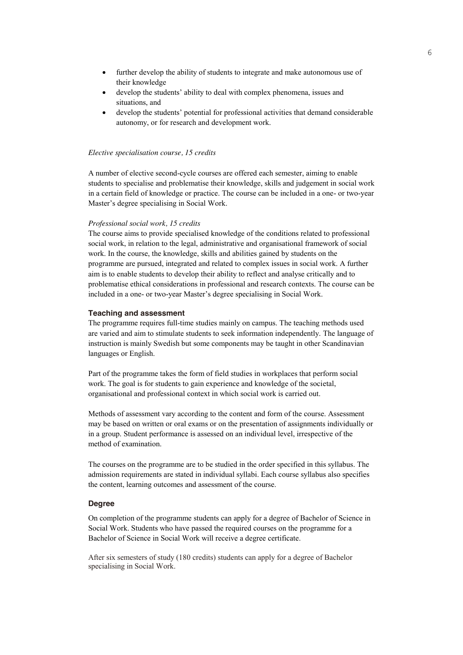- further develop the ability of students to integrate and make autonomous use of their knowledge
- develop the students' ability to deal with complex phenomena, issues and situations, and
- develop the students' potential for professional activities that demand considerable autonomy, or for research and development work.

# *Elective specialisation course, 15 credits*

A number of elective second-cycle courses are offered each semester, aiming to enable students to specialise and problematise their knowledge, skills and judgement in social work in a certain field of knowledge or practice. The course can be included in a one- or two-year Master's degree specialising in Social Work.

#### *Professional social work, 15 credits*

The course aims to provide specialised knowledge of the conditions related to professional social work, in relation to the legal, administrative and organisational framework of social work. In the course, the knowledge, skills and abilities gained by students on the programme are pursued, integrated and related to complex issues in social work. A further aim is to enable students to develop their ability to reflect and analyse critically and to problematise ethical considerations in professional and research contexts. The course can be included in a one- or two-year Master's degree specialising in Social Work.

# **Teaching and assessment**

The programme requires full-time studies mainly on campus. The teaching methods used are varied and aim to stimulate students to seek information independently. The language of instruction is mainly Swedish but some components may be taught in other Scandinavian languages or English.

Part of the programme takes the form of field studies in workplaces that perform social work. The goal is for students to gain experience and knowledge of the societal, organisational and professional context in which social work is carried out.

Methods of assessment vary according to the content and form of the course. Assessment may be based on written or oral exams or on the presentation of assignments individually or in a group. Student performance is assessed on an individual level, irrespective of the method of examination.

The courses on the programme are to be studied in the order specified in this syllabus. The admission requirements are stated in individual syllabi. Each course syllabus also specifies the content, learning outcomes and assessment of the course.

# **Degree**

On completion of the programme students can apply for a degree of Bachelor of Science in Social Work. Students who have passed the required courses on the programme for a Bachelor of Science in Social Work will receive a degree certificate.

After six semesters of study (180 credits) students can apply for a degree of Bachelor specialising in Social Work.